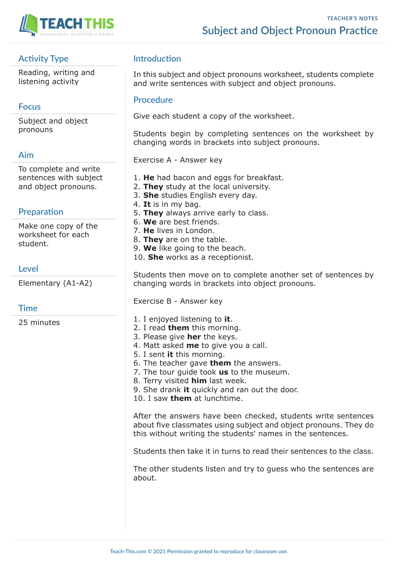

# **Activity Type**

Reading, writing and listening activity

### **Focus**

Subject and object pronouns

### **Aim**

To complete and write sentences with subject and object pronouns.

# **Preparation**

Make one copy of the worksheet for each student.

### **Level**

Elementary (A1-A2)

### **Time**

25 minutes

## **Introduction**

In this subject and object pronouns worksheet, students complete and write sentences with subject and object pronouns.

#### **Procedure**

Give each student a copy of the worksheet.

Students begin by completing sentences on the worksheet by changing words in brackets into subject pronouns.

Exercise A - Answer key

- 1. **He** had bacon and eggs for breakfast.
- 2. **They** study at the local university.
- 3. **She** studies English every day.
- 4. **It** is in my bag.
- 5. **They** always arrive early to class.
- 6. **We** are best friends.
- 7. **He** lives in London.
- 8. **They** are on the table.
- 9. **We** like going to the beach.
- 10. **She** works as a receptionist.

Students then move on to complete another set of sentences by changing words in brackets into object pronouns.

Exercise B - Answer key

- 1. I enjoyed listening to **it**.
- 2. I read **them** this morning.
- 3. Please give **her** the keys.
- 4. Matt asked **me** to give you a call.
- 5. I sent **it** this morning.
- 6. The teacher gave **them** the answers.
- 7. The tour guide took **us** to the museum.
- 8. Terry visited **him** last week.
- 9. She drank **it** quickly and ran out the door.

10. I saw **them** at lunchtime.

After the answers have been checked, students write sentences about five classmates using subject and object pronouns. They do this without writing the students' names in the sentences.

Students then take it in turns to read their sentences to the class.

The other students listen and try to guess who the sentences are about.